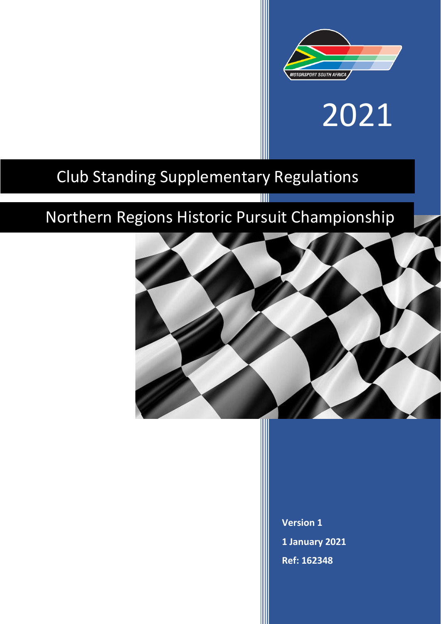

# 2021

# Club Standing Supplementary Regulations

# Northern Regions Historic Pursuit Championship

T



**Version 1 1 January 2021 Ref: 162348**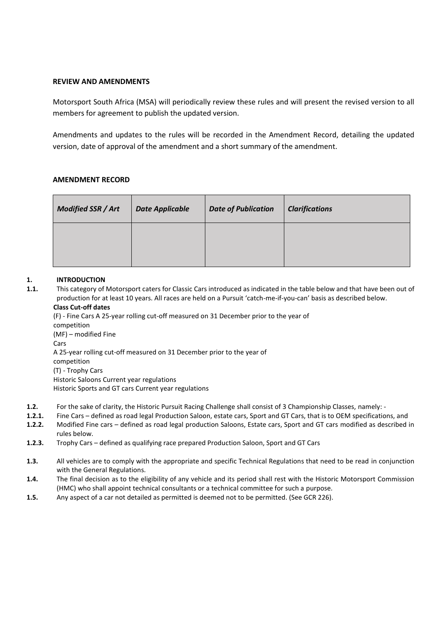# **REVIEW AND AMENDMENTS**

Motorsport South Africa (MSA) will periodically review these rules and will present the revised version to all members for agreement to publish the updated version.

Amendments and updates to the rules will be recorded in the Amendment Record, detailing the updated version, date of approval of the amendment and a short summary of the amendment.

# **AMENDMENT RECORD**

| <b>Modified SSR / Art</b> | <b>Date Applicable</b> | <b>Date of Publication</b> | <b>Clarifications</b> |
|---------------------------|------------------------|----------------------------|-----------------------|
|                           |                        |                            |                       |

# **1. INTRODUCTION**

**1.1.** This category of Motorsport caters for Classic Cars introduced as indicated in the table below and that have been out of production for at least 10 years. All races are held on a Pursuit 'catch-me-if-you-can' basis as described below. **Class Cut-off dates**

(F) - Fine Cars A 25-year rolling cut-off measured on 31 December prior to the year of competition (MF) – modified Fine Cars A 25-year rolling cut-off measured on 31 December prior to the year of competition (T) - Trophy Cars Historic Saloons Current year regulations Historic Sports and GT cars Current year regulations

- **1.2.** For the sake of clarity, the Historic Pursuit Racing Challenge shall consist of 3 Championship Classes, namely: -
- **1.2.1.** Fine Cars defined as road legal Production Saloon, estate cars, Sport and GT Cars, that is to OEM specifications, and
- **1.2.2.** Modified Fine cars defined as road legal production Saloons, Estate cars, Sport and GT cars modified as described in rules below.
- **1.2.3.** Trophy Cars defined as qualifying race prepared Production Saloon, Sport and GT Cars
- **1.3.** All vehicles are to comply with the appropriate and specific Technical Regulations that need to be read in conjunction with the General Regulations.
- **1.4.** The final decision as to the eligibility of any vehicle and its period shall rest with the Historic Motorsport Commission (HMC) who shall appoint technical consultants or a technical committee for such a purpose.
- **1.5.** Any aspect of a car not detailed as permitted is deemed not to be permitted. (See GCR 226).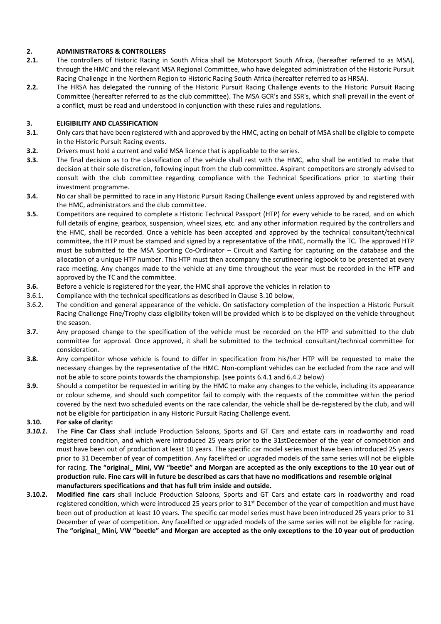# **2. ADMINISTRATORS & CONTROLLERS**

- **2.1.** The controllers of Historic Racing in South Africa shall be Motorsport South Africa, (hereafter referred to as MSA), through the HMC and the relevant MSA Regional Committee, who have delegated administration of the Historic Pursuit Racing Challenge in the Northern Region to Historic Racing South Africa (hereafter referred to as HRSA).
- **2.2.** The HRSA has delegated the running of the Historic Pursuit Racing Challenge events to the Historic Pursuit Racing Committee (hereafter referred to as the club committee). The MSA GCR's and SSR's, which shall prevail in the event of a conflict, must be read and understood in conjunction with these rules and regulations.

# **3. ELIGIBILITY AND CLASSIFICATION**

- **3.1.** Only cars that have been registered with and approved by the HMC, acting on behalf of MSA shall be eligible to compete in the Historic Pursuit Racing events.
- **3.2.** Drivers must hold a current and valid MSA licence that is applicable to the series.
- **3.3.** The final decision as to the classification of the vehicle shall rest with the HMC, who shall be entitled to make that decision at their sole discretion, following input from the club committee. Aspirant competitors are strongly advised to consult with the club committee regarding compliance with the Technical Specifications prior to starting their investment programme.
- **3.4.** No car shall be permitted to race in any Historic Pursuit Racing Challenge event unless approved by and registered with the HMC, administrators and the club committee.
- **3.5.** Competitors are required to complete a Historic Technical Passport (HTP) for every vehicle to be raced, and on which full details of engine, gearbox, suspension, wheel sizes, etc. and any other information required by the controllers and the HMC, shall be recorded. Once a vehicle has been accepted and approved by the technical consultant/technical committee, the HTP must be stamped and signed by a representative of the HMC, normally the TC. The approved HTP must be submitted to the MSA Sporting Co-Ordinator – Circuit and Karting for capturing on the database and the allocation of a unique HTP number. This HTP must then accompany the scrutineering logbook to be presented at every race meeting. Any changes made to the vehicle at any time throughout the year must be recorded in the HTP and approved by the TC and the committee.
- **3.6.** Before a vehicle is registered for the year, the HMC shall approve the vehicles in relation to
- 3.6.1. Compliance with the technical specifications as described in Clause 3.10 below,
- 3.6.2. The condition and general appearance of the vehicle. On satisfactory completion of the inspection a Historic Pursuit Racing Challenge Fine/Trophy class eligibility token will be provided which is to be displayed on the vehicle throughout the season.
- **3.7.** Any proposed change to the specification of the vehicle must be recorded on the HTP and submitted to the club committee for approval. Once approved, it shall be submitted to the technical consultant/technical committee for consideration.
- **3.8.** Any competitor whose vehicle is found to differ in specification from his/her HTP will be requested to make the necessary changes by the representative of the HMC. Non-compliant vehicles can be excluded from the race and will not be able to score points towards the championship. (see points 6.4.1 and 6.4.2 below)
- **3.9.** Should a competitor be requested in writing by the HMC to make any changes to the vehicle, including its appearance or colour scheme, and should such competitor fail to comply with the requests of the committee within the period covered by the next two scheduled events on the race calendar, the vehicle shall be de-registered by the club, and will not be eligible for participation in any Historic Pursuit Racing Challenge event.

#### **3.10. For sake of clarity:**

- *3.10.1.* The **Fine Car Class** shall include Production Saloons, Sports and GT Cars and estate cars in roadworthy and road registered condition, and which were introduced 25 years prior to the 31stDecember of the year of competition and must have been out of production at least 10 years. The specific car model series must have been introduced 25 years prior to 31 December of year of competition. Any facelifted or upgraded models of the same series will not be eligible for racing. **The "original\_ Mini, VW "beetle" and Morgan are accepted as the only exceptions to the 10 year out of production rule***.* **Fine cars will in future be described as cars that have no modifications and resemble original manufacturers specifications and that has full trim inside and outside.**
- **3.10.2. Modified fine cars** shall include Production Saloons, Sports and GT Cars and estate cars in roadworthy and road registered condition, which were introduced 25 years prior to  $31<sup>st</sup>$  December of the year of competition and must have been out of production at least 10 years. The specific car model series must have been introduced 25 years prior to 31 December of year of competition. Any facelifted or upgraded models of the same series will not be eligible for racing. **The "original\_ Mini, VW "beetle" and Morgan are accepted as the only exceptions to the 10 year out of production**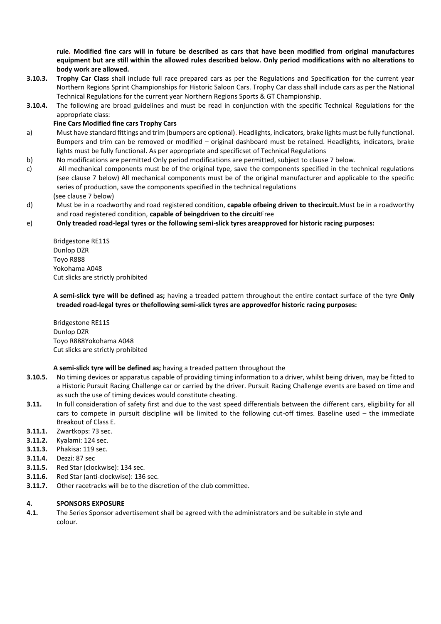**rule***.* **Modified fine cars will in future be described as cars that have been modified from original manufactures equipment but are still within the allowed rules described below. Only period modifications with no alterations to body work are allowed.**

- **3.10.3. Trophy Car Class** shall include full race prepared cars as per the Regulations and Specification for the current year Northern Regions Sprint Championships for Historic Saloon Cars. Trophy Car class shall include cars as per the National Technical Regulations for the current year Northern Regions Sports & GT Championship.
- **3.10.4.** The following are broad guidelines and must be read in conjunction with the specific Technical Regulations for the appropriate class:

#### **Fine Cars Modified fine cars Trophy Cars**

- a) Must have standard fittings and trim (bumpers are optional). Headlights, indicators, brake lights must be fully functional. Bumpers and trim can be removed or modified – original dashboard must be retained. Headlights, indicators, brake lights must be fully functional. As per appropriate and specificset of Technical Regulations
- b) No modifications are permitted Only period modifications are permitted, subject to clause 7 below.
- c) All mechanical components must be of the original type, save the components specified in the technical regulations (see clause 7 below) All mechanical components must be of the original manufacturer and applicable to the specific series of production, save the components specified in the technical regulations (see clause 7 below)
- d) Must be in a roadworthy and road registered condition, **capable ofbeing driven to thecircuit.**Must be in a roadworthy and road registered condition, **capable of beingdriven to the circuit**Free

#### e) **Only treaded road-legal tyres or the following semi-slick tyres areapproved for historic racing purposes:**

Bridgestone RE11S Dunlop DZR Toyo R888 Yokohama A048 Cut slicks are strictly prohibited

**A semi-slick tyre will be defined as;** having a treaded pattern throughout the entire contact surface of the tyre **Only treaded road-legal tyres or thefollowing semi-slick tyres are approvedfor historic racing purposes:**

Bridgestone RE11S Dunlop DZR Toyo R888Yokohama A048 Cut slicks are strictly prohibited

#### **A semi-slick tyre will be defined as;** having a treaded pattern throughout the

- **3.10.5.** No timing devices or apparatus capable of providing timing information to a driver, whilst being driven, may be fitted to a Historic Pursuit Racing Challenge car or carried by the driver. Pursuit Racing Challenge events are based on time and as such the use of timing devices would constitute cheating.
- **3.11.** In full consideration of safety first and due to the vast speed differentials between the different cars, eligibility for all cars to compete in pursuit discipline will be limited to the following cut-off times. Baseline used – the immediate Breakout of Class E.
- **3.11.1.** Zwartkops: 73 sec.
- **3.11.2.** Kyalami: 124 sec.
- **3.11.3.** Phakisa: 119 sec.
- **3.11.4.** Dezzi: 87 sec
- **3.11.5.** Red Star (clockwise): 134 sec.
- **3.11.6.** Red Star (anti-clockwise): 136 sec.
- **3.11.7.** Other racetracks will be to the discretion of the club committee.

#### **4. SPONSORS EXPOSURE**

**4.1.** The Series Sponsor advertisement shall be agreed with the administrators and be suitable in style and colour.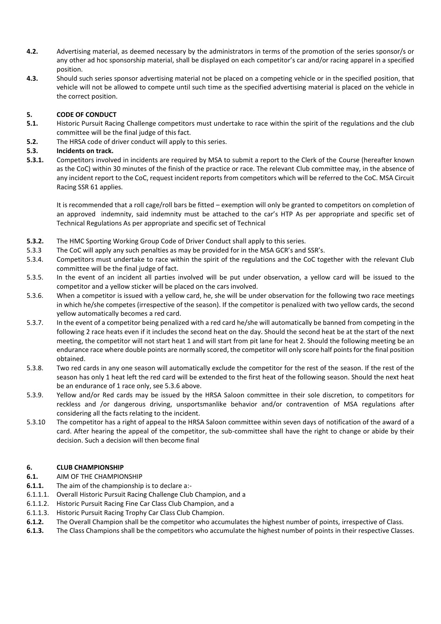- **4.2.** Advertising material, as deemed necessary by the administrators in terms of the promotion of the series sponsor/s or any other ad hoc sponsorship material, shall be displayed on each competitor's car and/or racing apparel in a specified position.
- **4.3.** Should such series sponsor advertising material not be placed on a competing vehicle or in the specified position, that vehicle will not be allowed to compete until such time as the specified advertising material is placed on the vehicle in the correct position.

# **5. CODE OF CONDUCT**

- **5.1.** Historic Pursuit Racing Challenge competitors must undertake to race within the spirit of the regulations and the club committee will be the final judge of this fact.
- **5.2.** The HRSA code of driver conduct will apply to this series.

# **5.3. Incidents on track.**

**5.3.1.** Competitors involved in incidents are required by MSA to submit a report to the Clerk of the Course (hereafter known as the CoC) within 30 minutes of the finish of the practice or race. The relevant Club committee may, in the absence of any incident report to the CoC, request incident reports from competitors which will be referred to the CoC. MSA Circuit Racing SSR 61 applies.

It is recommended that a roll cage/roll bars be fitted – exemption will only be granted to competitors on completion of an approved indemnity, said indemnity must be attached to the car's HTP As per appropriate and specific set of Technical Regulations As per appropriate and specific set of Technical

- **5.3.2.** The HMC Sporting Working Group Code of Driver Conduct shall apply to this series.
- 5.3.3 The CoC will apply any such penalties as may be provided for in the MSA GCR's and SSR's.
- 5.3.4. Competitors must undertake to race within the spirit of the regulations and the CoC together with the relevant Club committee will be the final judge of fact.
- 5.3.5. In the event of an incident all parties involved will be put under observation, a yellow card will be issued to the competitor and a yellow sticker will be placed on the cars involved.
- 5.3.6. When a competitor is issued with a yellow card, he, she will be under observation for the following two race meetings in which he/she competes (irrespective of the season). If the competitor is penalized with two yellow cards, the second yellow automatically becomes a red card.
- 5.3.7. In the event of a competitor being penalized with a red card he/she will automatically be banned from competing in the following 2 race heats even if it includes the second heat on the day. Should the second heat be at the start of the next meeting, the competitor will not start heat 1 and will start from pit lane for heat 2. Should the following meeting be an endurance race where double points are normally scored, the competitor will only score half points for the final position obtained.
- 5.3.8. Two red cards in any one season will automatically exclude the competitor for the rest of the season. If the rest of the season has only 1 heat left the red card will be extended to the first heat of the following season. Should the next heat be an endurance of 1 race only, see 5.3.6 above.
- 5.3.9. Yellow and/or Red cards may be issued by the HRSA Saloon committee in their sole discretion, to competitors for reckless and /or dangerous driving, unsportsmanlike behavior and/or contravention of MSA regulations after considering all the facts relating to the incident.
- 5.3.10 The competitor has a right of appeal to the HRSA Saloon committee within seven days of notification of the award of a card. After hearing the appeal of the competitor, the sub-committee shall have the right to change or abide by their decision. Such a decision will then become final

#### **6. CLUB CHAMPIONSHIP**

- **6.1.** AIM OF THE CHAMPIONSHIP
- **6.1.1.** The aim of the championship is to declare a:-
- 6.1.1.1. Overall Historic Pursuit Racing Challenge Club Champion, and a
- 6.1.1.2. Historic Pursuit Racing Fine Car Class Club Champion, and a
- 6.1.1.3. Historic Pursuit Racing Trophy Car Class Club Champion.
- **6.1.2.** The Overall Champion shall be the competitor who accumulates the highest number of points, irrespective of Class.
- **6.1.3.** The Class Champions shall be the competitors who accumulate the highest number of points in their respective Classes.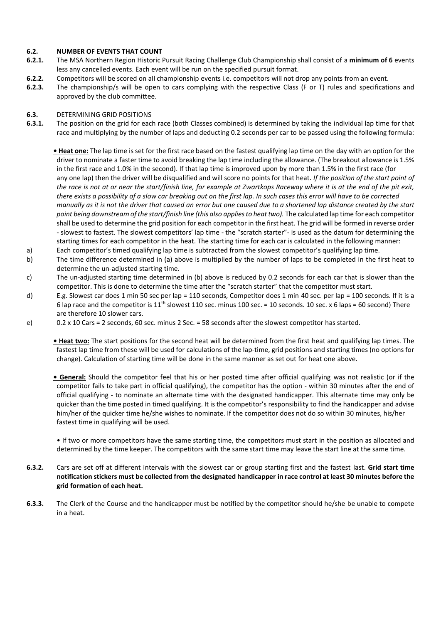#### **6.2. NUMBER OF EVENTS THAT COUNT**

- **6.2.1.** The MSA Northern Region Historic Pursuit Racing Challenge Club Championship shall consist of a **minimum of 6** events less any cancelled events. Each event will be run on the specified pursuit format.
- **6.2.2.** Competitors will be scored on all championship events i.e. competitors will not drop any points from an event.
- **6.2.3.** The championship/s will be open to cars complying with the respective Class (F or T) rules and specifications and approved by the club committee.

# **6.3.** DETERMINING GRID POSITIONS

- **6.3.1.** The position on the grid for each race (both Classes combined) is determined by taking the individual lap time for that race and multiplying by the number of laps and deducting 0.2 seconds per car to be passed using the following formula:
	- **Heat one:** The lap time is set for the first race based on the fastest qualifying lap time on the day with an option for the driver to nominate a faster time to avoid breaking the lap time including the allowance. (The breakout allowance is 1.5% in the first race and 1.0% in the second). If that lap time is improved upon by more than 1.5% in the first race (for any one lap) then the driver will be disqualified and will score no points for that heat. *If the position of the start point of the race is not at or near the start/finish line, for example at Zwartkops Raceway where it is at the end of the pit exit, there exists a possibility of a slow car breaking out on the first lap. In such cases this error will have to be corrected manually as it is not the driver that caused an error but one caused due to a shortened lap distance created by the start point being downstream of the start/finish line (this also applies to heat two).* The calculated lap time for each competitor shall be used to determine the grid position for each competitor in the first heat. The grid will be formed in reverse order - slowest to fastest. The slowest competitors' lap time - the "scratch starter"- is used as the datum for determining the starting times for each competitor in the heat. The starting time for each car is calculated in the following manner:
- a) Each competitor's timed qualifying lap time is subtracted from the slowest competitor's qualifying lap time.
- b) The time difference determined in (a) above is multiplied by the number of laps to be completed in the first heat to determine the un-adjusted starting time.
- c) The un-adjusted starting time determined in (b) above is reduced by 0.2 seconds for each car that is slower than the competitor. This is done to determine the time after the "scratch starter" that the competitor must start.
- d) E.g. Slowest car does 1 min 50 sec per lap = 110 seconds, Competitor does 1 min 40 sec. per lap = 100 seconds. If it is a 6 lap race and the competitor is  $11^{th}$  slowest 110 sec. minus 100 sec. = 10 seconds. 10 sec. x 6 laps = 60 second) There are therefore 10 slower cars.
- e) 0.2 x 10 Cars = 2 seconds, 60 sec. minus 2 Sec. = 58 seconds after the slowest competitor has started.

**• Heat two:** The start positions for the second heat will be determined from the first heat and qualifying lap times. The fastest lap time from these will be used for calculations of the lap-time, grid positions and starting times (no options for change). Calculation of starting time will be done in the same manner as set out for heat one above.

**• General:** Should the competitor feel that his or her posted time after official qualifying was not realistic (or if the competitor fails to take part in official qualifying), the competitor has the option - within 30 minutes after the end of official qualifying - to nominate an alternate time with the designated handicapper. This alternate time may only be quicker than the time posted in timed qualifying. It is the competitor's responsibility to find the handicapper and advise him/her of the quicker time he/she wishes to nominate. If the competitor does not do so within 30 minutes, his/her fastest time in qualifying will be used.

• If two or more competitors have the same starting time, the competitors must start in the position as allocated and determined by the time keeper. The competitors with the same start time may leave the start line at the same time.

- **6.3.2.** Cars are set off at different intervals with the slowest car or group starting first and the fastest last. **Grid start time notification stickers must be collected from the designated handicapper in race control at least 30 minutes before the grid formation of each heat.**
- **6.3.3.** The Clerk of the Course and the handicapper must be notified by the competitor should he/she be unable to compete in a heat.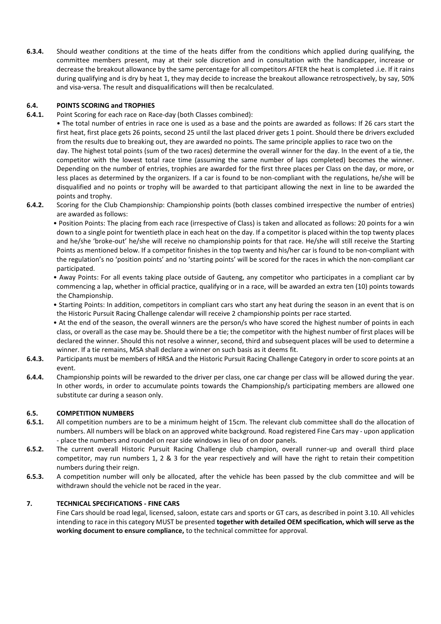**6.3.4.** Should weather conditions at the time of the heats differ from the conditions which applied during qualifying, the committee members present, may at their sole discretion and in consultation with the handicapper, increase or decrease the breakout allowance by the same percentage for all competitors AFTER the heat is completed .i.e. If it rains during qualifying and is dry by heat 1, they may decide to increase the breakout allowance retrospectively, by say, 50% and visa-versa. The result and disqualifications will then be recalculated.

# **6.4. POINTS SCORING and TROPHIES**

**6.4.1.** Point Scoring for each race on Race-day (both Classes combined):

• The total number of entries in race one is used as a base and the points are awarded as follows: If 26 cars start the first heat, first place gets 26 points, second 25 until the last placed driver gets 1 point. Should there be drivers excluded from the results due to breaking out, they are awarded no points. The same principle applies to race two on the day. The highest total points (sum of the two races) determine the overall winner for the day. In the event of a tie, the competitor with the lowest total race time (assuming the same number of laps completed) becomes the winner. Depending on the number of entries, trophies are awarded for the first three places per Class on the day, or more, or less places as determined by the organizers. If a car is found to be non-compliant with the regulations, he/she will be disqualified and no points or trophy will be awarded to that participant allowing the next in line to be awarded the

- points and trophy. **6.4.2.** Scoring for the Club Championship: Championship points (both classes combined irrespective the number of entries) are awarded as follows:
	- Position Points: The placing from each race (irrespective of Class) is taken and allocated as follows: 20 points for a win down to a single point for twentieth place in each heat on the day. If a competitor is placed within the top twenty places and he/she 'broke-out' he/she will receive no championship points for that race. He/she will still receive the Starting Points as mentioned below. If a competitor finishes in the top twenty and his/her car is found to be non-compliant with the regulation's no 'position points' and no 'starting points' will be scored for the races in which the non-compliant car participated.
	- Away Points: For all events taking place outside of Gauteng, any competitor who participates in a compliant car by commencing a lap, whether in official practice, qualifying or in a race, will be awarded an extra ten (10) points towards the Championship.
	- Starting Points: In addition, competitors in compliant cars who start any heat during the season in an event that is on the Historic Pursuit Racing Challenge calendar will receive 2 championship points per race started.
	- At the end of the season, the overall winners are the person/s who have scored the highest number of points in each class, or overall as the case may be. Should there be a tie; the competitor with the highest number of first places will be declared the winner. Should this not resolve a winner, second, third and subsequent places will be used to determine a winner. If a tie remains, MSA shall declare a winner on such basis as it deems fit.
- **6.4.3.** Participants must be members of HRSA and the Historic Pursuit Racing Challenge Category in order to score points at an event.
- **6.4.4.** Championship points will be rewarded to the driver per class, one car change per class will be allowed during the year. In other words, in order to accumulate points towards the Championship/s participating members are allowed one substitute car during a season only.

#### **6.5. COMPETITION NUMBERS**

- **6.5.1.** All competition numbers are to be a minimum height of 15cm. The relevant club committee shall do the allocation of numbers. All numbers will be black on an approved white background. Road registered Fine Cars may - upon application - place the numbers and roundel on rear side windows in lieu of on door panels.
- **6.5.2.** The current overall Historic Pursuit Racing Challenge club champion, overall runner-up and overall third place competitor, may run numbers 1, 2 & 3 for the year respectively and will have the right to retain their competition numbers during their reign.
- **6.5.3.** A competition number will only be allocated, after the vehicle has been passed by the club committee and will be withdrawn should the vehicle not be raced in the year.

#### **7. TECHNICAL SPECIFICATIONS - FINE CARS**

Fine Cars should be road legal, licensed, saloon, estate cars and sports or GT cars, as described in point 3.10. All vehicles intending to race in this category MUST be presented **together with detailed OEM specification, which will serve as the working document to ensure compliance,** to the technical committee for approval.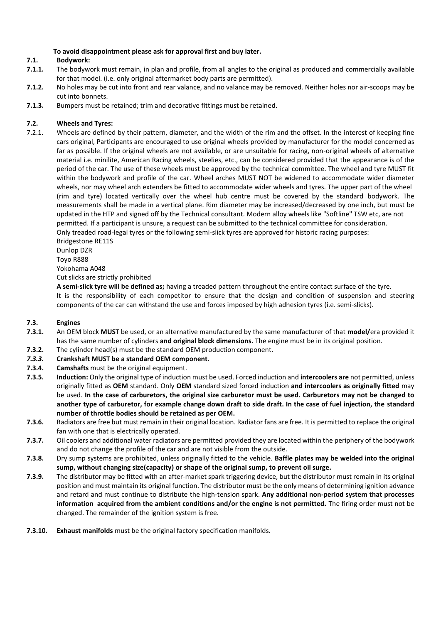# **To avoid disappointment please ask for approval first and buy later.**

# **7.1. Bodywork:**

- **7.1.1.** The bodywork must remain, in plan and profile, from all angles to the original as produced and commercially available for that model. (i.e. only original aftermarket body parts are permitted).
- **7.1.2.** No holes may be cut into front and rear valance, and no valance may be removed. Neither holes nor air-scoops may be cut into bonnets.
- **7.1.3.** Bumpers must be retained; trim and decorative fittings must be retained.

# **7.2. Wheels and Tyres:**

7.2.1. Wheels are defined by their pattern, diameter, and the width of the rim and the offset. In the interest of keeping fine cars original, Participants are encouraged to use original wheels provided by manufacturer for the model concerned as far as possible. If the original wheels are not available, or are unsuitable for racing, non-original wheels of alternative material i.e. minilite, American Racing wheels, steelies, etc., can be considered provided that the appearance is of the period of the car. The use of these wheels must be approved by the technical committee. The wheel and tyre MUST fit within the bodywork and profile of the car. Wheel arches MUST NOT be widened to accommodate wider diameter wheels, nor may wheel arch extenders be fitted to accommodate wider wheels and tyres. The upper part of the wheel (rim and tyre) located vertically over the wheel hub centre must be covered by the standard bodywork. The measurements shall be made in a vertical plane. Rim diameter may be increased/decreased by one inch, but must be updated in the HTP and signed off by the Technical consultant. Modern alloy wheels like "Softline" TSW etc, are not permitted. If a participant is unsure, a request can be submitted to the technical committee for consideration. Only treaded road-legal tyres or the following semi-slick tyres are approved for historic racing purposes:

Bridgestone RE11S

Dunlop DZR

Toyo R888 Yokohama A048

Cut slicks are strictly prohibited

**A semi-slick tyre will be defined as;** having a treaded pattern throughout the entire contact surface of the tyre. It is the responsibility of each competitor to ensure that the design and condition of suspension and steering components of the car can withstand the use and forces imposed by high adhesion tyres (i.e. semi-slicks).

#### **7.3. Engines**

- **7.3.1.** An OEM block **MUST** be used, or an alternative manufactured by the same manufacturer of that **model/**era provided it has the same number of cylinders **and original block dimensions.** The engine must be in its original position.
- **7.3.2.** The cylinder head(s) must be the standard OEM production component.
- *7.3.3.* **Crankshaft MUST be a standard OEM component***.*
- **7.3.4. Camshafts** must be the original equipment.
- **7.3.5. Induction:** Only the original type of induction must be used. Forced induction and **intercoolers are** not permitted, unless originally fitted as **OEM** standard. Only **OEM** standard sized forced induction **and intercoolers as originally fitted** may be used. **In the case of carburetors, the original size carburetor must be used. Carburetors may not be changed to another type of carburetor, for example change down draft to side draft. In the case of fuel injection, the standard number of throttle bodies should be retained as per OEM.**
- **7.3.6.** Radiators are free but must remain in their original location. Radiator fans are free. It is permitted to replace the original fan with one that is electrically operated.
- **7.3.7.** Oil coolers and additional water radiators are permitted provided they are located within the periphery of the bodywork and do not change the profile of the car and are not visible from the outside.
- **7.3.8.** Dry sump systems are prohibited, unless originally fitted to the vehicle. **Baffle plates may be welded into the original sump, without changing size(capacity) or shape of the original sump, to prevent oil surge.**
- **7.3.9.** The distributor may be fitted with an after-market spark triggering device, but the distributor must remain in its original position and must maintain its original function. The distributor must be the only means of determining ignition advance and retard and must continue to distribute the high-tension spark. **Any additional non-period system that processes information acquired from the ambient conditions and/or the engine is not permitted.** The firing order must not be changed. The remainder of the ignition system is free.
- **7.3.10. Exhaust manifolds** must be the original factory specification manifolds.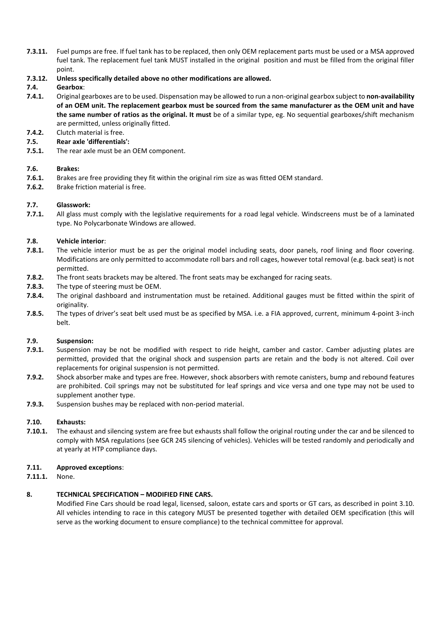- **7.3.11.** Fuel pumps are free. If fuel tank has to be replaced, then only OEM replacement parts must be used or a MSA approved fuel tank. The replacement fuel tank MUST installed in the original position and must be filled from the original filler point.
- **7.3.12. Unless specifically detailed above no other modifications are allowed.**

# **7.4. Gearbox**:

- **7.4.1.** Original gearboxes are to be used. Dispensation may be allowed to run a non-original gearbox subject to **non-availability of an OEM unit. The replacement gearbox must be sourced from the same manufacturer as the OEM unit and have the same number of ratios as the original. It must** be of a similar type, eg. No sequential gearboxes/shift mechanism are permitted, unless originally fitted.
- **7.4.2.** Clutch material is free.
- **7.5. Rear axle 'differentials':**
- **7.5.1.** The rear axle must be an OEM component.

# **7.6. Brakes:**

- **7.6.1.** Brakes are free providing they fit within the original rim size as was fitted OEM standard.
- **7.6.2.** Brake friction material is free.

# **7.7. Glasswork:**

**7.7.1.** All glass must comply with the legislative requirements for a road legal vehicle. Windscreens must be of a laminated type. No Polycarbonate Windows are allowed.

# **7.8. Vehicle interior**:

- **7.8.1.** The vehicle interior must be as per the original model including seats, door panels, roof lining and floor covering. Modifications are only permitted to accommodate roll bars and roll cages, however total removal (e.g. back seat) is not permitted.
- **7.8.2.** The front seats brackets may be altered. The front seats may be exchanged for racing seats.
- **7.8.3.** The type of steering must be OEM.
- **7.8.4.** The original dashboard and instrumentation must be retained. Additional gauges must be fitted within the spirit of originality.
- **7.8.5.** The types of driver's seat belt used must be as specified by MSA. i.e. a FIA approved, current, minimum 4-point 3-inch belt.

#### **7.9. Suspension:**

- **7.9.1.** Suspension may be not be modified with respect to ride height, camber and castor. Camber adjusting plates are permitted, provided that the original shock and suspension parts are retain and the body is not altered. Coil over replacements for original suspension is not permitted.
- **7.9.2.** Shock absorber make and types are free. However, shock absorbers with remote canisters, bump and rebound features are prohibited. Coil springs may not be substituted for leaf springs and vice versa and one type may not be used to supplement another type.
- **7.9.3.** Suspension bushes may be replaced with non-period material.

#### **7.10. Exhausts:**

**7.10.1.** The exhaust and silencing system are free but exhausts shall follow the original routing under the car and be silenced to comply with MSA regulations (see GCR 245 silencing of vehicles). Vehicles will be tested randomly and periodically and at yearly at HTP compliance days.

#### **7.11. Approved exceptions**:

**7.11.1.** None.

# **8. TECHNICAL SPECIFICATION – MODIFIED FINE CARS.**

Modified Fine Cars should be road legal, licensed, saloon, estate cars and sports or GT cars, as described in point 3.10. All vehicles intending to race in this category MUST be presented together with detailed OEM specification (this will serve as the working document to ensure compliance) to the technical committee for approval.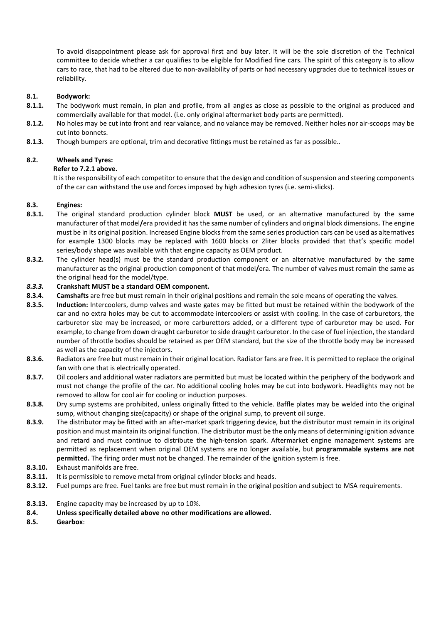To avoid disappointment please ask for approval first and buy later. It will be the sole discretion of the Technical committee to decide whether a car qualifies to be eligible for Modified fine cars. The spirit of this category is to allow cars to race, that had to be altered due to non-availability of parts or had necessary upgrades due to technical issues or reliability.

#### **8.1. Bodywork:**

- **8.1.1.** The bodywork must remain, in plan and profile, from all angles as close as possible to the original as produced and commercially available for that model. (i.e. only original aftermarket body parts are permitted).
- **8.1.2.** No holes may be cut into front and rear valance, and no valance may be removed. Neither holes nor air-scoops may be cut into bonnets.
- **8.1.3.** Though bumpers are optional, trim and decorative fittings must be retained as far as possible..

#### **8.2. Wheels and Tyres:**

#### **Refer to 7.2.1 above.**

It is the responsibility of each competitor to ensure that the design and condition of suspension and steering components of the car can withstand the use and forces imposed by high adhesion tyres (i.e. semi-slicks).

#### **8.3. Engines:**

- **8.3.1.** The original standard production cylinder block **MUST** be used, or an alternative manufactured by the same manufacturer of that model**/**era provided it has the same number of cylinders and original block dimensions**.** The engine must be in its original position. Increased Engine blocks from the same series production cars can be used as alternatives for example 1300 blocks may be replaced with 1600 blocks or 2liter blocks provided that that's specific model series/body shape was available with that engine capacity as OEM product.
- **8.3.2.** The cylinder head(s) must be the standard production component or an alternative manufactured by the same manufacturer as the original production component of that model**/**era. The number of valves must remain the same as the original head for the model/type.

#### *8.3.3.* **Crankshaft MUST be a standard OEM component***.*

- **8.3.4. Camshafts** are free but must remain in their original positions and remain the sole means of operating the valves.
- **8.3.5. Induction:** Intercoolers, dump valves and waste gates may be fitted but must be retained within the bodywork of the car and no extra holes may be cut to accommodate intercoolers or assist with cooling. In the case of carburetors, the carburetor size may be increased, or more carburettors added, or a different type of carburetor may be used. For example, to change from down draught carburetor to side draught carburetor. In the case of fuel injection, the standard number of throttle bodies should be retained as per OEM standard, but the size of the throttle body may be increased as well as the capacity of the injectors.
- **8.3.6.** Radiators are free but must remain in their original location. Radiator fans are free. It is permitted to replace the original fan with one that is electrically operated.
- **8.3.7.** Oil coolers and additional water radiators are permitted but must be located within the periphery of the bodywork and must not change the profile of the car. No additional cooling holes may be cut into bodywork. Headlights may not be removed to allow for cool air for cooling or induction purposes.
- **8.3.8.** Dry sump systems are prohibited, unless originally fitted to the vehicle. Baffle plates may be welded into the original sump, without changing size(capacity) or shape of the original sump, to prevent oil surge.
- **8.3.9.** The distributor may be fitted with an after-market spark triggering device, but the distributor must remain in its original position and must maintain its original function. The distributor must be the only means of determining ignition advance and retard and must continue to distribute the high-tension spark. Aftermarket engine management systems are permitted as replacement when original OEM systems are no longer available, but **programmable systems are not permitted.** The firing order must not be changed. The remainder of the ignition system is free.
- **8.3.10.** Exhaust manifolds are free.
- **8.3.11.** It is permissible to remove metal from original cylinder blocks and heads.
- **8.3.12.** Fuel pumps are free. Fuel tanks are free but must remain in the original position and subject to MSA requirements.
- **8.3.13.** Engine capacity may be increased by up to 10%.
- **8.4. Unless specifically detailed above no other modifications are allowed.**
- **8.5. Gearbox**: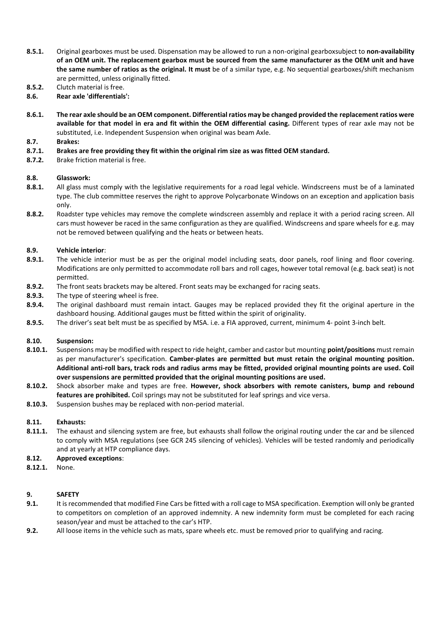- **8.5.1.** Original gearboxes must be used. Dispensation may be allowed to run a non-original gearboxsubject to **non-availability of an OEM unit. The replacement gearbox must be sourced from the same manufacturer as the OEM unit and have the same number of ratios as the original. It must** be of a similar type, e.g. No sequential gearboxes/shift mechanism are permitted, unless originally fitted.
- **8.5.2.** Clutch material is free.
- **8.6. Rear axle 'differentials':**
- **8.6.1. The rear axle should be an OEM component. Differential ratios may be changed provided the replacement ratios were available for that model in era and fit within the OEM differential casing.** Different types of rear axle may not be substituted, i.e. Independent Suspension when original was beam Axle.

#### **8.7. Brakes:**

- **8.7.1. Brakes are free providing they fit within the original rim size as was fitted OEM standard.**
- **8.7.2.** Brake friction material is free.

#### **8.8. Glasswork:**

- **8.8.1.** All glass must comply with the legislative requirements for a road legal vehicle. Windscreens must be of a laminated type. The club committee reserves the right to approve Polycarbonate Windows on an exception and application basis only.
- **8.8.2.** Roadster type vehicles may remove the complete windscreen assembly and replace it with a period racing screen. All cars must however be raced in the same configuration as they are qualified. Windscreens and spare wheels for e.g. may not be removed between qualifying and the heats or between heats.

# **8.9. Vehicle interior**:

- **8.9.1.** The vehicle interior must be as per the original model including seats, door panels, roof lining and floor covering. Modifications are only permitted to accommodate roll bars and roll cages, however total removal (e.g. back seat) is not permitted.
- **8.9.2.** The front seats brackets may be altered. Front seats may be exchanged for racing seats.
- **8.9.3.** The type of steering wheel is free.
- **8.9.4.** The original dashboard must remain intact. Gauges may be replaced provided they fit the original aperture in the dashboard housing. Additional gauges must be fitted within the spirit of originality.
- **8.9.5.** The driver's seat belt must be as specified by MSA. i.e. a FIA approved, current, minimum 4- point 3-inch belt.

#### **8.10. Suspension:**

- **8.10.1.** Suspensions may be modified with respect to ride height, camber and castor but mounting **point/positions** must remain as per manufacturer's specification. **Camber-plates are permitted but must retain the original mounting position. Additional anti-roll bars, track rods and radius arms may be fitted, provided original mounting points are used. Coil over suspensions are permitted provided that the original mounting positions are used.**
- **8.10.2.** Shock absorber make and types are free. **However, shock absorbers with remote canisters, bump and rebound features are prohibited.** Coil springs may not be substituted for leaf springs and vice versa.
- **8.10.3.** Suspension bushes may be replaced with non-period material.

#### **8.11. Exhausts:**

- **8.11.1.** The exhaust and silencing system are free, but exhausts shall follow the original routing under the car and be silenced to comply with MSA regulations (see GCR 245 silencing of vehicles). Vehicles will be tested randomly and periodically and at yearly at HTP compliance days.
- **8.12. Approved exceptions**:
- **8.12.1.** None.

#### **9. SAFETY**

- **9.1.** It is recommended that modified Fine Cars be fitted with a roll cage to MSA specification. Exemption will only be granted to competitors on completion of an approved indemnity. A new indemnity form must be completed for each racing season/year and must be attached to the car's HTP.
- **9.2.** All loose items in the vehicle such as mats, spare wheels etc. must be removed prior to qualifying and racing.